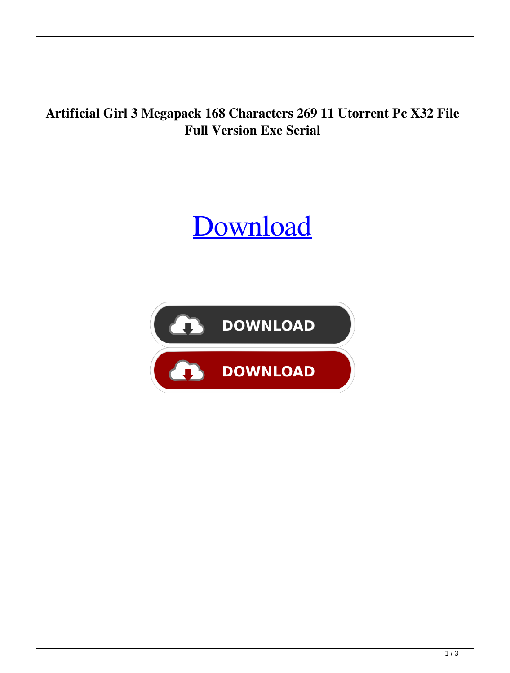**Artificial Girl 3 Megapack 168 Characters 269 11 Utorrent Pc X32 File Full Version Exe Serial**

## [Download](http://evacdir.com/ehlers/.hydrabrush/.pinhey/QXJ0aWZpY2lhbCBHaXJsIDMgTWVnYXBhY2sgMTY4IENoYXJhY3RlcnMgMjY5IDExQXJ/metres/viscose.ZG93bmxvYWR8NnVMTVhwa1lYeDhNVFkxTWpjME1EZzJObng4TWpVM05IeDhLRTBwSUhKbFlXUXRZbXh2WnlCYlJtRnpkQ0JIUlU1ZA)

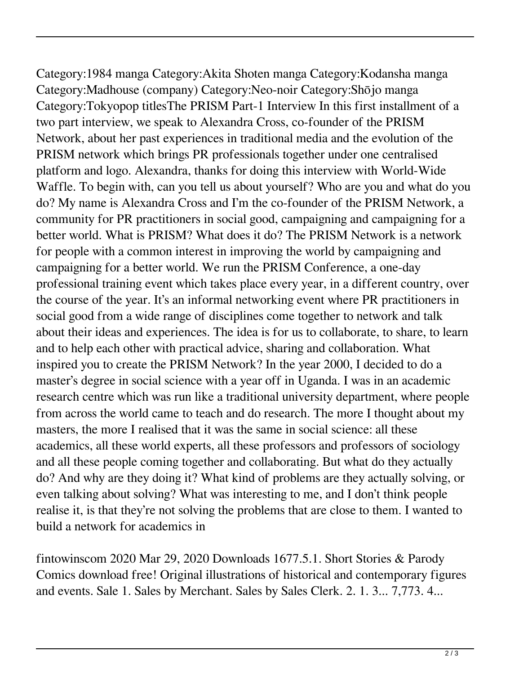Category:1984 manga Category:Akita Shoten manga Category:Kodansha manga Category:Madhouse (company) Category:Neo-noir Category:Shōjo manga Category:Tokyopop titlesThe PRISM Part-1 Interview In this first installment of a two part interview, we speak to Alexandra Cross, co-founder of the PRISM Network, about her past experiences in traditional media and the evolution of the PRISM network which brings PR professionals together under one centralised platform and logo. Alexandra, thanks for doing this interview with World-Wide Waffle. To begin with, can you tell us about yourself? Who are you and what do you do? My name is Alexandra Cross and I'm the co-founder of the PRISM Network, a community for PR practitioners in social good, campaigning and campaigning for a better world. What is PRISM? What does it do? The PRISM Network is a network for people with a common interest in improving the world by campaigning and campaigning for a better world. We run the PRISM Conference, a one-day professional training event which takes place every year, in a different country, over the course of the year. It's an informal networking event where PR practitioners in social good from a wide range of disciplines come together to network and talk about their ideas and experiences. The idea is for us to collaborate, to share, to learn and to help each other with practical advice, sharing and collaboration. What inspired you to create the PRISM Network? In the year 2000, I decided to do a master's degree in social science with a year off in Uganda. I was in an academic research centre which was run like a traditional university department, where people from across the world came to teach and do research. The more I thought about my masters, the more I realised that it was the same in social science: all these academics, all these world experts, all these professors and professors of sociology and all these people coming together and collaborating. But what do they actually do? And why are they doing it? What kind of problems are they actually solving, or even talking about solving? What was interesting to me, and I don't think people realise it, is that they're not solving the problems that are close to them. I wanted to build a network for academics in

fintowinscom 2020 Mar 29, 2020 Downloads 1677.5.1. Short Stories & Parody Comics download free! Original illustrations of historical and contemporary figures and events. Sale 1. Sales by Merchant. Sales by Sales Clerk. 2. 1. 3... 7,773. 4...